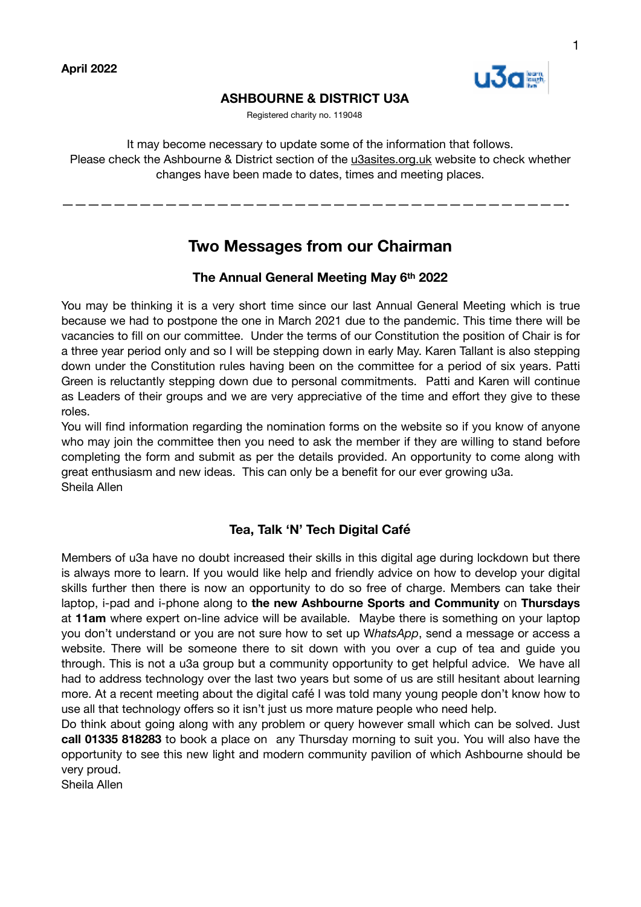

# **ASHBOURNE & DISTRICT U3A**

Registered charity no. 119048

It may become necessary to update some of the information that follows. Please check the Ashbourne & District section of the [u3asites.org.uk](http://u3asites.org.uk) website to check whether changes have been made to dates, times and meeting places.

# **Two Messages from our Chairman**

———————————————————————————————————————-

# **The Annual General Meeting May 6th 2022**

You may be thinking it is a very short time since our last Annual General Meeting which is true because we had to postpone the one in March 2021 due to the pandemic. This time there will be vacancies to fill on our committee. Under the terms of our Constitution the position of Chair is for a three year period only and so I will be stepping down in early May. Karen Tallant is also stepping down under the Constitution rules having been on the committee for a period of six years. Patti Green is reluctantly stepping down due to personal commitments. Patti and Karen will continue as Leaders of their groups and we are very appreciative of the time and effort they give to these roles.

You will find information regarding the nomination forms on the website so if you know of anyone who may join the committee then you need to ask the member if they are willing to stand before completing the form and submit as per the details provided. An opportunity to come along with great enthusiasm and new ideas. This can only be a benefit for our ever growing u3a. Sheila Allen

# **Tea, Talk 'N' Tech Digital Café**

Members of u3a have no doubt increased their skills in this digital age during lockdown but there is always more to learn. If you would like help and friendly advice on how to develop your digital skills further then there is now an opportunity to do so free of charge. Members can take their laptop, i-pad and i-phone along to **the new Ashbourne Sports and Community** on **Thursdays** at **11am** where expert on-line advice will be available. Maybe there is something on your laptop you don't understand or you are not sure how to set up W*hatsApp*, send a message or access a website. There will be someone there to sit down with you over a cup of tea and guide you through. This is not a u3a group but a community opportunity to get helpful advice. We have all had to address technology over the last two years but some of us are still hesitant about learning more. At a recent meeting about the digital café I was told many young people don't know how to use all that technology offers so it isn't just us more mature people who need help.

Do think about going along with any problem or query however small which can be solved. Just **call 01335 818283** to book a place on any Thursday morning to suit you. You will also have the opportunity to see this new light and modern community pavilion of which Ashbourne should be very proud.

Sheila Allen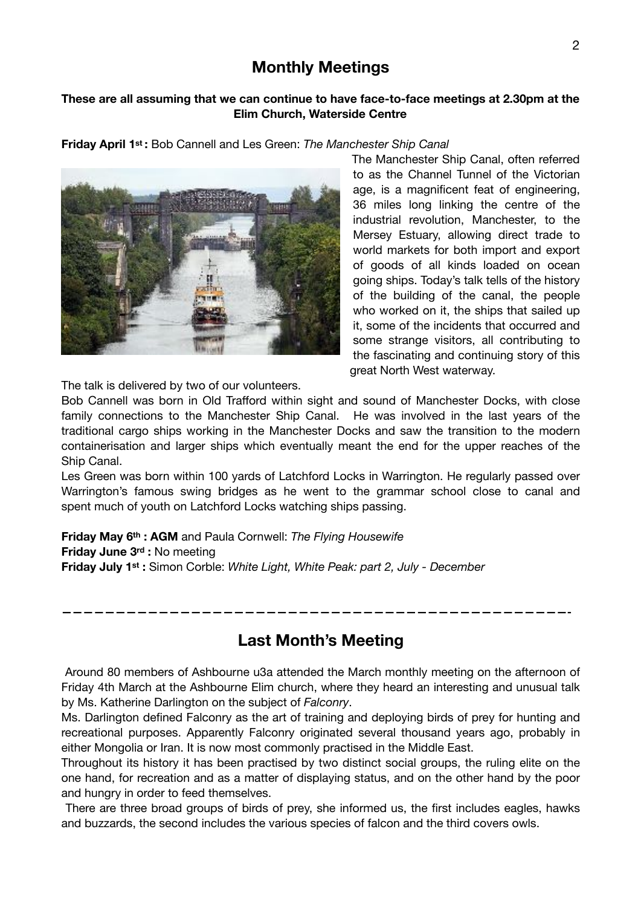# **Monthly Meetings**

# **These are all assuming that we can continue to have face-to-face meetings at 2.30pm at the Elim Church, Waterside Centre**

**Friday April 1st :** Bob Cannell and Les Green: *The Manchester Ship Canal*



The Manchester Ship Canal, often referred to as the Channel Tunnel of the Victorian age, is a magnificent feat of engineering, 36 miles long linking the centre of the industrial revolution, Manchester, to the Mersey Estuary, allowing direct trade to world markets for both import and export of goods of all kinds loaded on ocean going ships. Today's talk tells of the history of the building of the canal, the people who worked on it, the ships that sailed up it, some of the incidents that occurred and some strange visitors, all contributing to the fascinating and continuing story of this great North West waterway.

The talk is delivered by two of our volunteers.

Bob Cannell was born in Old Trafford within sight and sound of Manchester Docks, with close family connections to the Manchester Ship Canal. He was involved in the last years of the traditional cargo ships working in the Manchester Docks and saw the transition to the modern containerisation and larger ships which eventually meant the end for the upper reaches of the Ship Canal.

Les Green was born within 100 yards of Latchford Locks in Warrington. He regularly passed over Warrington's famous swing bridges as he went to the grammar school close to canal and spent much of youth on Latchford Locks watching ships passing.

**Friday May 6th : AGM** and Paula Cornwell: *The Flying Housewife*  **Friday June 3rd :** No meeting **Friday July 1st :** Simon Corble: *White Light, White Peak: part 2, July - December* 

**Last Month's Meeting** 

**———————————————————————————————————————————————-** 

 Around 80 members of Ashbourne u3a attended the March monthly meeting on the afternoon of Friday 4th March at the Ashbourne Elim church, where they heard an interesting and unusual talk by Ms. Katherine Darlington on the subject of *Falconry*.

Ms. Darlington defined Falconry as the art of training and deploying birds of prey for hunting and recreational purposes. Apparently Falconry originated several thousand years ago, probably in either Mongolia or Iran. It is now most commonly practised in the Middle East.

Throughout its history it has been practised by two distinct social groups, the ruling elite on the one hand, for recreation and as a matter of displaying status, and on the other hand by the poor and hungry in order to feed themselves.

 There are three broad groups of birds of prey, she informed us, the first includes eagles, hawks and buzzards, the second includes the various species of falcon and the third covers owls.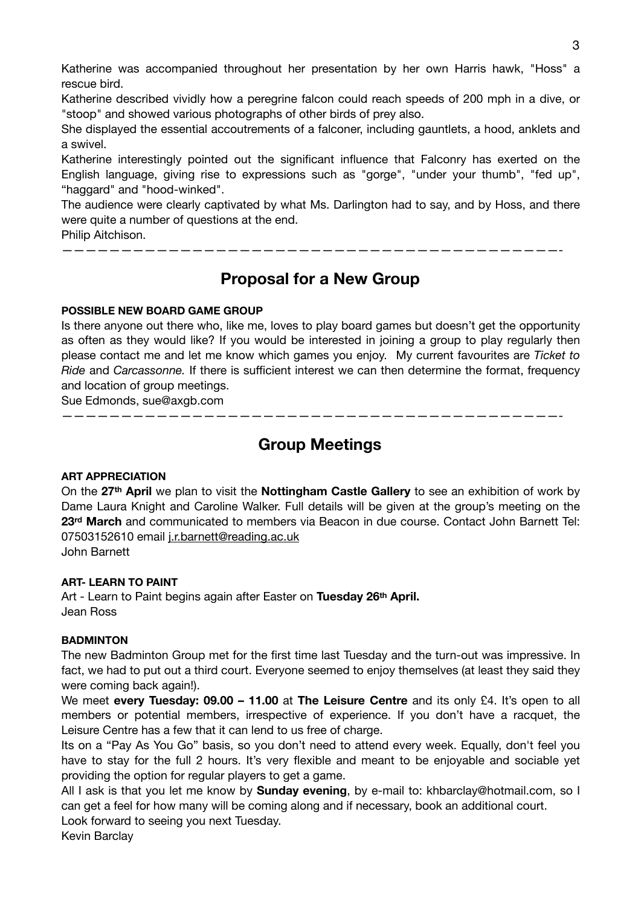Katherine was accompanied throughout her presentation by her own Harris hawk, "Hoss" a rescue bird.

Katherine described vividly how a peregrine falcon could reach speeds of 200 mph in a dive, or "stoop" and showed various photographs of other birds of prey also.

She displayed the essential accoutrements of a falconer, including gauntlets, a hood, anklets and a swivel.

Katherine interestingly pointed out the significant influence that Falconry has exerted on the English language, giving rise to expressions such as "gorge", "under your thumb", "fed up", "haggard" and "hood-winked".

The audience were clearly captivated by what Ms. Darlington had to say, and by Hoss, and there were quite a number of questions at the end.

Philip Aitchison.

**Proposal for a New Group** 

——————————————————————————————————————————-

## **POSSIBLE NEW BOARD GAME GROUP**

Is there anyone out there who, like me, loves to play board games but doesn't get the opportunity as often as they would like? If you would be interested in joining a group to play regularly then please contact me and let me know which games you enjoy. My current favourites are *Ticket to Ride* and *Carcassonne.* If there is sufficient interest we can then determine the format, frequency and location of group meetings.

Sue Edmonds, sue@axgb.com

# **Group Meetings**

——————————————————————————————————————————-

## **ART APPRECIATION**

On the **27th April** we plan to visit the **Nottingham Castle Gallery** to see an exhibition of work by Dame Laura Knight and Caroline Walker. Full details will be given at the group's meeting on the **23rd March** and communicated to members via Beacon in due course. Contact John Barnett Tel: 07503152610 email [j.r.barnett@reading.ac.uk](mailto:j.r.barnett@reading.ac.uk) John Barnett

## **ART- LEARN TO PAINT**

Art - Learn to Paint begins again after Easter on **Tuesday 26th April.** Jean Ross

## **BADMINTON**

The new Badminton Group met for the first time last Tuesday and the turn-out was impressive. In fact, we had to put out a third court. Everyone seemed to enjoy themselves (at least they said they were coming back again!).

We meet **every Tuesday: 09.00 – 11.00** at **The Leisure Centre** and its only £4. It's open to all members or potential members, irrespective of experience. If you don't have a racquet, the Leisure Centre has a few that it can lend to us free of charge.

Its on a "Pay As You Go" basis, so you don't need to attend every week. Equally, don't feel you have to stay for the full 2 hours. It's very flexible and meant to be enjoyable and sociable yet providing the option for regular players to get a game.

All I ask is that you let me know by **Sunday evening**, by e-mail to: khbarclay@hotmail.com, so I can get a feel for how many will be coming along and if necessary, book an additional court.

Look forward to seeing you next Tuesday.

Kevin Barclay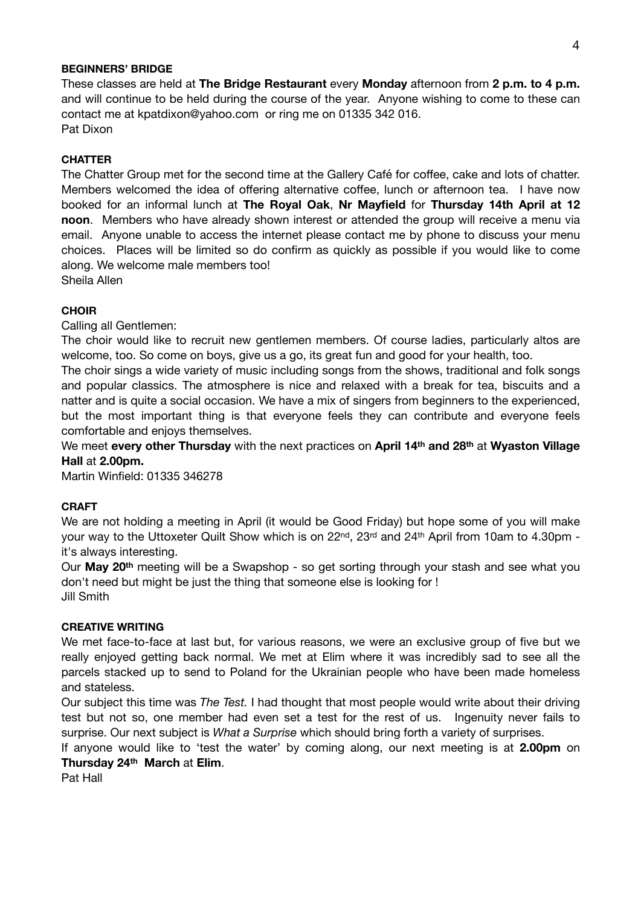#### **BEGINNERS' BRIDGE**

These classes are held at **The Bridge Restaurant** every **Monday** afternoon from **2 p.m. to 4 p.m.** and will continue to be held during the course of the year. Anyone wishing to come to these can contact me at kpatdixon@yahoo.com or ring me on 01335 342 016. Pat Dixon

## **CHATTER**

The Chatter Group met for the second time at the Gallery Café for coffee, cake and lots of chatter. Members welcomed the idea of offering alternative coffee, lunch or afternoon tea. I have now booked for an informal lunch at **The Royal Oak**, **Nr Mayfield** for **Thursday 14th April at 12 noon**. Members who have already shown interest or attended the group will receive a menu via email. Anyone unable to access the internet please contact me by phone to discuss your menu choices. Places will be limited so do confirm as quickly as possible if you would like to come along. We welcome male members too! Sheila Allen

**CHOIR** 

Calling all Gentlemen:

The choir would like to recruit new gentlemen members. Of course ladies, particularly altos are welcome, too. So come on boys, give us a go, its great fun and good for your health, too.

The choir sings a wide variety of music including songs from the shows, traditional and folk songs and popular classics. The atmosphere is nice and relaxed with a break for tea, biscuits and a natter and is quite a social occasion. We have a mix of singers from beginners to the experienced, but the most important thing is that everyone feels they can contribute and everyone feels comfortable and enjoys themselves.

We meet **every other Thursday** with the next practices on **April 14th and 28th** at **Wyaston Village Hall** at **2.00pm.** 

Martin Winfield: 01335 346278

## **CRAFT**

We are not holding a meeting in April (it would be Good Friday) but hope some of you will make your way to the Uttoxeter Quilt Show which is on 22nd, 23rd and 24th April from 10am to 4.30pm it's always interesting.

Our **May 20th** meeting will be a Swapshop - so get sorting through your stash and see what you don't need but might be just the thing that someone else is looking for ! Jill Smith

## **CREATIVE WRITING**

We met face-to-face at last but, for various reasons, we were an exclusive group of five but we really enjoyed getting back normal. We met at Elim where it was incredibly sad to see all the parcels stacked up to send to Poland for the Ukrainian people who have been made homeless and stateless.

Our subject this time was *The Test.* I had thought that most people would write about their driving test but not so, one member had even set a test for the rest of us. Ingenuity never fails to surprise. Our next subject is *What a Surprise* which should bring forth a variety of surprises.

If anyone would like to 'test the water' by coming along, our next meeting is at **2.00pm** on **Thursday 24th March** at **Elim**.

Pat Hall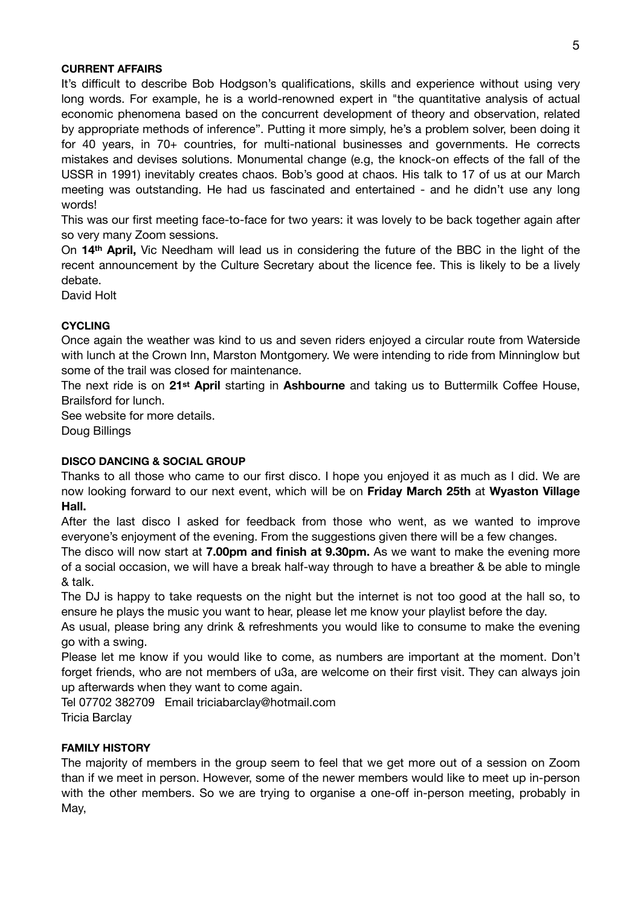## **CURRENT AFFAIRS**

It's difficult to describe Bob Hodgson's qualifications, skills and experience without using very long words. For example, he is a world-renowned expert in "the quantitative analysis of actual economic phenomena based on the concurrent development of theory and observation, related by appropriate methods of inference". Putting it more simply, he's a problem solver, been doing it for 40 years, in 70+ countries, for multi-national businesses and governments. He corrects mistakes and devises solutions. Monumental change (e.g, the knock-on effects of the fall of the USSR in 1991) inevitably creates chaos. Bob's good at chaos. His talk to 17 of us at our March meeting was outstanding. He had us fascinated and entertained - and he didn't use any long words!

This was our first meeting face-to-face for two years: it was lovely to be back together again after so very many Zoom sessions.

On **14th April,** Vic Needham will lead us in considering the future of the BBC in the light of the recent announcement by the Culture Secretary about the licence fee. This is likely to be a lively debate.

David Holt

## **CYCLING**

Once again the weather was kind to us and seven riders enjoyed a circular route from Waterside with lunch at the Crown Inn, Marston Montgomery. We were intending to ride from Minninglow but some of the trail was closed for maintenance.

The next ride is on **21st April** starting in **Ashbourne** and taking us to Buttermilk Coffee House, Brailsford for lunch.

See website for more details.

Doug Billings

## **DISCO DANCING & SOCIAL GROUP**

Thanks to all those who came to our first disco. I hope you enjoyed it as much as I did. We are now looking forward to our next event, which will be on **Friday March 25th** at **Wyaston Village Hall.**

After the last disco I asked for feedback from those who went, as we wanted to improve everyone's enjoyment of the evening. From the suggestions given there will be a few changes.

The disco will now start at **7.00pm and finish at 9.30pm.** As we want to make the evening more of a social occasion, we will have a break half-way through to have a breather & be able to mingle & talk.

The DJ is happy to take requests on the night but the internet is not too good at the hall so, to ensure he plays the music you want to hear, please let me know your playlist before the day.

As usual, please bring any drink & refreshments you would like to consume to make the evening go with a swing.

Please let me know if you would like to come, as numbers are important at the moment. Don't forget friends, who are not members of u3a, are welcome on their first visit. They can always join up afterwards when they want to come again.

Tel 07702 382709 Email triciabarclay@hotmail.com Tricia Barclay

## **FAMILY HISTORY**

The majority of members in the group seem to feel that we get more out of a session on Zoom than if we meet in person. However, some of the newer members would like to meet up in-person with the other members. So we are trying to organise a one-off in-person meeting, probably in May,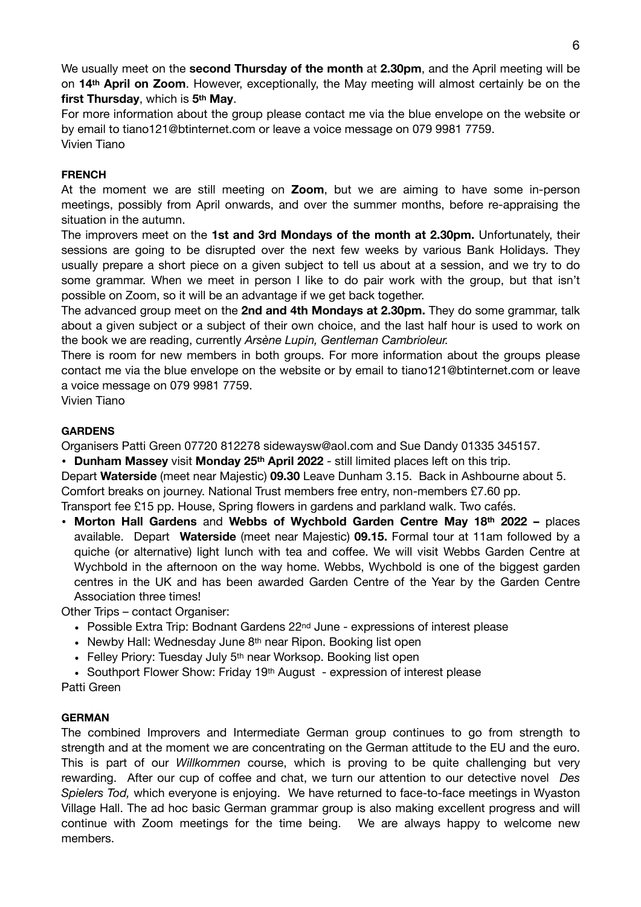We usually meet on the **second Thursday of the month** at **2.30pm**, and the April meeting will be on **14th April on Zoom**. However, exceptionally, the May meeting will almost certainly be on the **first Thursday**, which is **5th May**.

For more information about the group please contact me via the blue envelope on the website or by email to tiano121@btinternet.com or leave a voice message on 079 9981 7759. Vivien Tiano

## **FRENCH**

At the moment we are still meeting on **Zoom**, but we are aiming to have some in-person meetings, possibly from April onwards, and over the summer months, before re-appraising the situation in the autumn.

The improvers meet on the **1st and 3rd Mondays of the month at 2.30pm.** Unfortunately, their sessions are going to be disrupted over the next few weeks by various Bank Holidays. They usually prepare a short piece on a given subject to tell us about at a session, and we try to do some grammar. When we meet in person I like to do pair work with the group, but that isn't possible on Zoom, so it will be an advantage if we get back together.

The advanced group meet on the **2nd and 4th Mondays at 2.30pm.** They do some grammar, talk about a given subject or a subject of their own choice, and the last half hour is used to work on the book we are reading, currently *Arsène Lupin, Gentleman Cambrioleur.*

There is room for new members in both groups. For more information about the groups please contact me via the blue envelope on the website or by email to tiano121@btinternet.com or leave a voice message on 079 9981 7759.

Vivien Tiano

## **GARDENS**

Organisers Patti Green 07720 812278 sidewaysw@aol.com and Sue Dandy 01335 345157.

• **Dunham Massey** visit **Monday 25th April 2022** - still limited places left on this trip.

Depart **Waterside** (meet near Majestic) **09.30** Leave Dunham 3.15. Back in Ashbourne about 5. Comfort breaks on journey. National Trust members free entry, non-members £7.60 pp.

Transport fee £15 pp. House, Spring flowers in gardens and parkland walk. Two cafés.

• **Morton Hall Gardens** and **Webbs of Wychbold Garden Centre May 18th 2022 –** places available. Depart **Waterside** (meet near Majestic) **09.15.** Formal tour at 11am followed by a quiche (or alternative) light lunch with tea and coffee. We will visit Webbs Garden Centre at Wychbold in the afternoon on the way home. Webbs, Wychbold is one of the biggest garden centres in the UK and has been awarded Garden Centre of the Year by the Garden Centre Association three times!

Other Trips – contact Organiser:

- Possible Extra Trip: Bodnant Gardens 22<sup>nd</sup> June expressions of interest please
- Newby Hall: Wednesday June 8<sup>th</sup> near Ripon. Booking list open
- Felley Priory: Tuesday July 5<sup>th</sup> near Worksop. Booking list open
- Southport Flower Show: Friday 19<sup>th</sup> August expression of interest please

Patti Green

## **GERMAN**

The combined Improvers and Intermediate German group continues to go from strength to strength and at the moment we are concentrating on the German attitude to the EU and the euro. This is part of our *Willkommen* course, which is proving to be quite challenging but very rewarding. After our cup of coffee and chat, we turn our attention to our detective novel *Des Spielers Tod,* which everyone is enjoying. We have returned to face-to-face meetings in Wyaston Village Hall. The ad hoc basic German grammar group is also making excellent progress and will continue with Zoom meetings for the time being. We are always happy to welcome new members.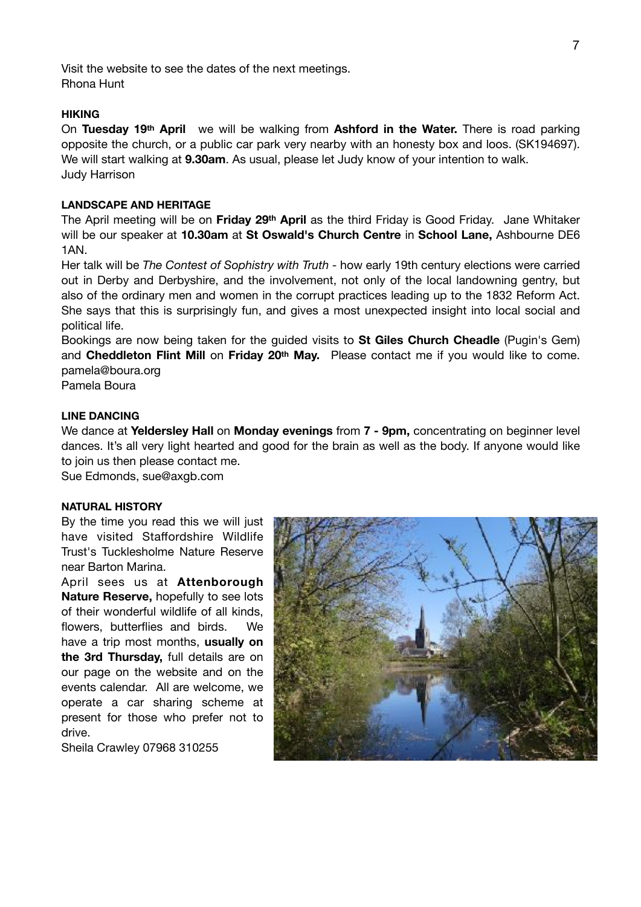Visit the website to see the dates of the next meetings. Rhona Hunt

#### **HIKING**

On **Tuesday 19th April** we will be walking from **Ashford in the Water.** There is road parking opposite the church, or a public car park very nearby with an honesty box and loos. (SK194697). We will start walking at **9.30am**. As usual, please let Judy know of your intention to walk. Judy Harrison

## **LANDSCAPE AND HERITAGE**

The April meeting will be on **Friday 29th April** as the third Friday is Good Friday. Jane Whitaker will be our speaker at **10.30am** at **St Oswald's Church Centre** in **School Lane,** Ashbourne DE6 1AN.

Her talk will be *The Contest of Sophistry with Truth* - how early 19th century elections were carried out in Derby and Derbyshire, and the involvement, not only of the local landowning gentry, but also of the ordinary men and women in the corrupt practices leading up to the 1832 Reform Act. She says that this is surprisingly fun, and gives a most unexpected insight into local social and political life.

Bookings are now being taken for the guided visits to **St Giles Church Cheadle** (Pugin's Gem) and **Cheddleton Flint Mill** on **Friday 20th May.** Please contact me if you would like to come. pamela@boura.org

Pamela Boura

## **LINE DANCING**

We dance at **Yeldersley Hall** on **Monday evenings** from **7 - 9pm,** concentrating on beginner level dances. It's all very light hearted and good for the brain as well as the body. If anyone would like to join us then please contact me.

Sue Edmonds, sue@axgb.com

#### **NATURAL HISTORY**

By the time you read this we will just have visited Staffordshire Wildlife Trust's Tucklesholme Nature Reserve near Barton Marina.

April sees us at **Attenborough Nature Reserve,** hopefully to see lots of their wonderful wildlife of all kinds, flowers, butterflies and birds. We have a trip most months, **usually on the 3rd Thursday,** full details are on our page on the website and on the events calendar. All are welcome, we operate a car sharing scheme at present for those who prefer not to drive.

Sheila Crawley 07968 310255

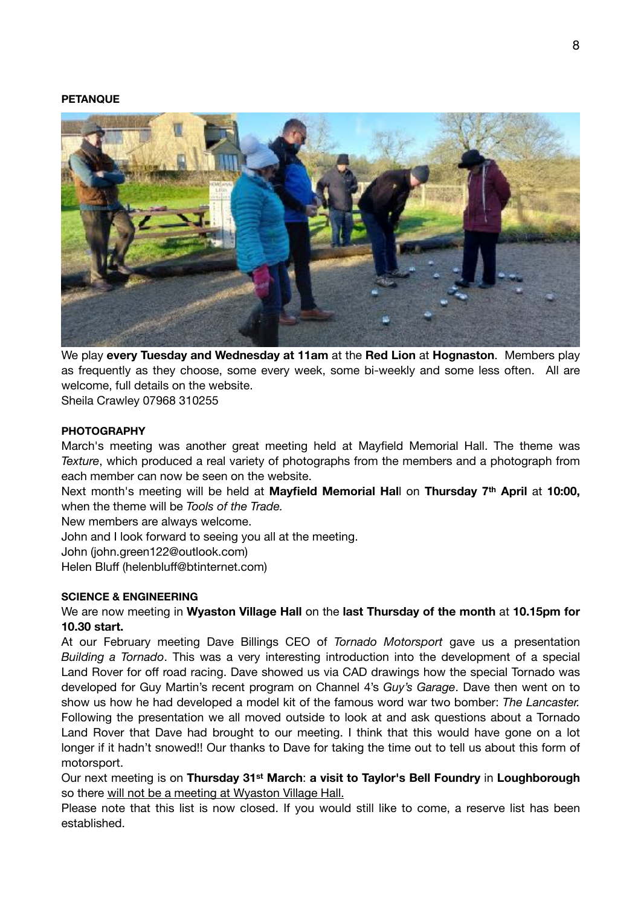#### **PETANQUE**



We play **every Tuesday and Wednesday at 11am** at the **Red Lion** at **Hognaston**. Members play as frequently as they choose, some every week, some bi-weekly and some less often. All are welcome, full details on the website.

Sheila Crawley 07968 310255

### **PHOTOGRAPHY**

March's meeting was another great meeting held at Mayfield Memorial Hall. The theme was *Texture*, which produced a real variety of photographs from the members and a photograph from each member can now be seen on the website.

Next month's meeting will be held at **Mayfield Memorial Hal**l on **Thursday 7th April** at **10:00,**  when the theme will be *Tools of the Trade.*

New members are always welcome.

John and I look forward to seeing you all at the meeting.

John (john.green122@outlook.com)

Helen Bluff (helenbluff@btinternet.com)

## **SCIENCE & ENGINEERING**

## We are now meeting in **Wyaston Village Hall** on the **last Thursday of the month** at **10.15pm for 10.30 start.**

At our February meeting Dave Billings CEO of *Tornado Motorsport* gave us a presentation *Building a Tornado*. This was a very interesting introduction into the development of a special Land Rover for off road racing. Dave showed us via CAD drawings how the special Tornado was developed for Guy Martin's recent program on Channel 4's *Guy's Garage*. Dave then went on to show us how he had developed a model kit of the famous word war two bomber: *The Lancaster.*  Following the presentation we all moved outside to look at and ask questions about a Tornado Land Rover that Dave had brought to our meeting. I think that this would have gone on a lot longer if it hadn't snowed!! Our thanks to Dave for taking the time out to tell us about this form of motorsport.

Our next meeting is on **Thursday 31st March**: **a visit to Taylor's Bell Foundry** in **Loughborough** so there will not be a meeting at Wyaston Village Hall.

Please note that this list is now closed. If you would still like to come, a reserve list has been established.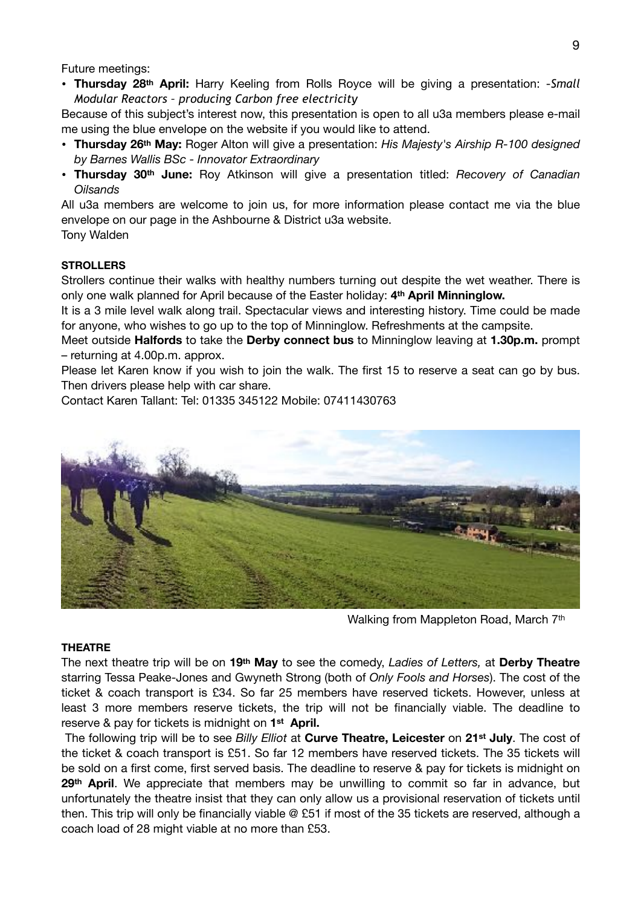Future meetings:

• **Thursday 28th April:** Harry Keeling from Rolls Royce will be giving a presentation: -*Small Modular Reactors – producing Carbon free electricity*

Because of this subject's interest now, this presentation is open to all u3a members please e-mail me using the blue envelope on the website if you would like to attend.

- **Thursday 26th May:** Roger Alton will give a presentation: *His Majesty's Airship R-100 designed by Barnes Wallis BSc - Innovator Extraordinary*
- **Thursday 30th June:** Roy Atkinson will give a presentation titled: *Recovery of Canadian Oilsands*

All u3a members are welcome to join us, for more information please contact me via the blue envelope on our page in the Ashbourne & District u3a website.

Tony Walden

## **STROLLERS**

Strollers continue their walks with healthy numbers turning out despite the wet weather. There is only one walk planned for April because of the Easter holiday: **4th April Minninglow.**

It is a 3 mile level walk along trail. Spectacular views and interesting history. Time could be made for anyone, who wishes to go up to the top of Minninglow. Refreshments at the campsite.

Meet outside **Halfords** to take the **Derby connect bus** to Minninglow leaving at **1.30p.m.** prompt – returning at 4.00p.m. approx.

Please let Karen know if you wish to join the walk. The first 15 to reserve a seat can go by bus. Then drivers please help with car share.

Contact Karen Tallant: Tel: 01335 345122 Mobile: 07411430763



Walking from Mappleton Road, March 7th

#### **THEATRE**

The next theatre trip will be on **19th May** to see the comedy, *Ladies of Letters,* at **Derby Theatre**  starring Tessa Peake-Jones and Gwyneth Strong (both of *Only Fools and Horses*). The cost of the ticket & coach transport is £34. So far 25 members have reserved tickets. However, unless at least 3 more members reserve tickets, the trip will not be financially viable. The deadline to reserve & pay for tickets is midnight on **1st April.** 

The following trip will be to see *Billy Elliot* at **Curve Theatre, Leicester** on **21st July**. The cost of the ticket & coach transport is £51. So far 12 members have reserved tickets. The 35 tickets will be sold on a first come, first served basis. The deadline to reserve & pay for tickets is midnight on **29th April**. We appreciate that members may be unwilling to commit so far in advance, but unfortunately the theatre insist that they can only allow us a provisional reservation of tickets until then. This trip will only be financially viable @ £51 if most of the 35 tickets are reserved, although a coach load of 28 might viable at no more than £53.